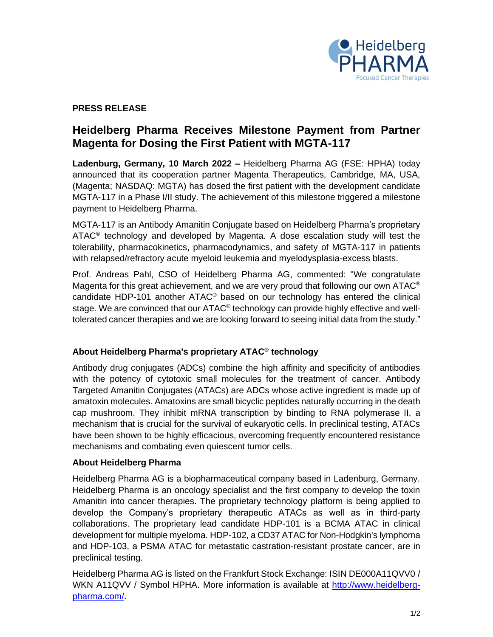

## **PRESS RELEASE**

# **Heidelberg Pharma Receives Milestone Payment from Partner Magenta for Dosing the First Patient with MGTA-117**

**Ladenburg, Germany, 10 March 2022 –** Heidelberg Pharma AG (FSE: HPHA) today announced that its cooperation partner Magenta Therapeutics, Cambridge, MA, USA, (Magenta; NASDAQ: MGTA) has dosed the first patient with the development candidate MGTA-117 in a Phase I/II study. The achievement of this milestone triggered a milestone payment to Heidelberg Pharma.

MGTA-117 is an Antibody Amanitin Conjugate based on Heidelberg Pharma's proprietary ATAC<sup>®</sup> technology and developed by Magenta. A dose escalation study will test the tolerability, pharmacokinetics, pharmacodynamics, and safety of MGTA-117 in patients with relapsed/refractory acute myeloid leukemia and myelodysplasia-excess blasts.

Prof. Andreas Pahl, CSO of Heidelberg Pharma AG, commented: "We congratulate Magenta for this great achievement, and we are very proud that following our own ATAC $^{\circ}$ candidate HDP-101 another ATAC® based on our technology has entered the clinical stage. We are convinced that our ATAC® technology can provide highly effective and welltolerated cancer therapies and we are looking forward to seeing initial data from the study."

## **About Heidelberg Pharma's proprietary ATAC® technology**

Antibody drug conjugates (ADCs) combine the high affinity and specificity of antibodies with the potency of cytotoxic small molecules for the treatment of cancer. Antibody Targeted Amanitin Conjugates (ATACs) are ADCs whose active ingredient is made up of amatoxin molecules. Amatoxins are small bicyclic peptides naturally occurring in the death cap mushroom. They inhibit mRNA transcription by binding to RNA polymerase II, a mechanism that is crucial for the survival of eukaryotic cells. In preclinical testing, ATACs have been shown to be highly efficacious, overcoming frequently encountered resistance mechanisms and combating even quiescent tumor cells.

## **About Heidelberg Pharma**

Heidelberg Pharma AG is a biopharmaceutical company based in Ladenburg, Germany. Heidelberg Pharma is an oncology specialist and the first company to develop the toxin Amanitin into cancer therapies. The proprietary technology platform is being applied to develop the Company's proprietary therapeutic ATACs as well as in third-party collaborations. The proprietary lead candidate HDP-101 is a BCMA ATAC in clinical development for multiple myeloma. HDP-102, a CD37 ATAC for Non-Hodgkin's lymphoma and HDP-103, a PSMA ATAC for metastatic castration-resistant prostate cancer, are in preclinical testing.

Heidelberg Pharma AG is listed on the Frankfurt Stock Exchange: ISIN DE000A11QVV0 / WKN A11QVV / Symbol HPHA. More information is available at [http://www.heidelberg](http://www.heidelberg-pharma.com/)[pharma.com/.](http://www.heidelberg-pharma.com/)